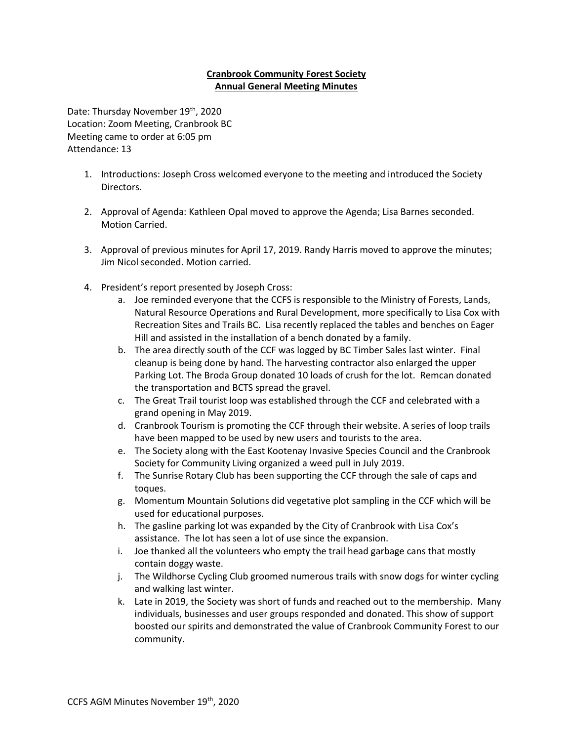## **Cranbrook Community Forest Society Annual General Meeting Minutes**

Date: Thursday November 19th, 2020 Location: Zoom Meeting, Cranbrook BC Meeting came to order at 6:05 pm Attendance: 13

- 1. Introductions: Joseph Cross welcomed everyone to the meeting and introduced the Society Directors.
- 2. Approval of Agenda: Kathleen Opal moved to approve the Agenda; Lisa Barnes seconded. Motion Carried.
- 3. Approval of previous minutes for April 17, 2019. Randy Harris moved to approve the minutes; Jim Nicol seconded. Motion carried.
- 4. President's report presented by Joseph Cross:
	- a. Joe reminded everyone that the CCFS is responsible to the Ministry of Forests, Lands, Natural Resource Operations and Rural Development, more specifically to Lisa Cox with Recreation Sites and Trails BC. Lisa recently replaced the tables and benches on Eager Hill and assisted in the installation of a bench donated by a family.
	- b. The area directly south of the CCF was logged by BC Timber Sales last winter. Final cleanup is being done by hand. The harvesting contractor also enlarged the upper Parking Lot. The Broda Group donated 10 loads of crush for the lot. Remcan donated the transportation and BCTS spread the gravel.
	- c. The Great Trail tourist loop was established through the CCF and celebrated with a grand opening in May 2019.
	- d. Cranbrook Tourism is promoting the CCF through their website. A series of loop trails have been mapped to be used by new users and tourists to the area.
	- e. The Society along with the East Kootenay Invasive Species Council and the Cranbrook Society for Community Living organized a weed pull in July 2019.
	- f. The Sunrise Rotary Club has been supporting the CCF through the sale of caps and toques.
	- g. Momentum Mountain Solutions did vegetative plot sampling in the CCF which will be used for educational purposes.
	- h. The gasline parking lot was expanded by the City of Cranbrook with Lisa Cox's assistance. The lot has seen a lot of use since the expansion.
	- i. Joe thanked all the volunteers who empty the trail head garbage cans that mostly contain doggy waste.
	- j. The Wildhorse Cycling Club groomed numerous trails with snow dogs for winter cycling and walking last winter.
	- k. Late in 2019, the Society was short of funds and reached out to the membership. Many individuals, businesses and user groups responded and donated. This show of support boosted our spirits and demonstrated the value of Cranbrook Community Forest to our community.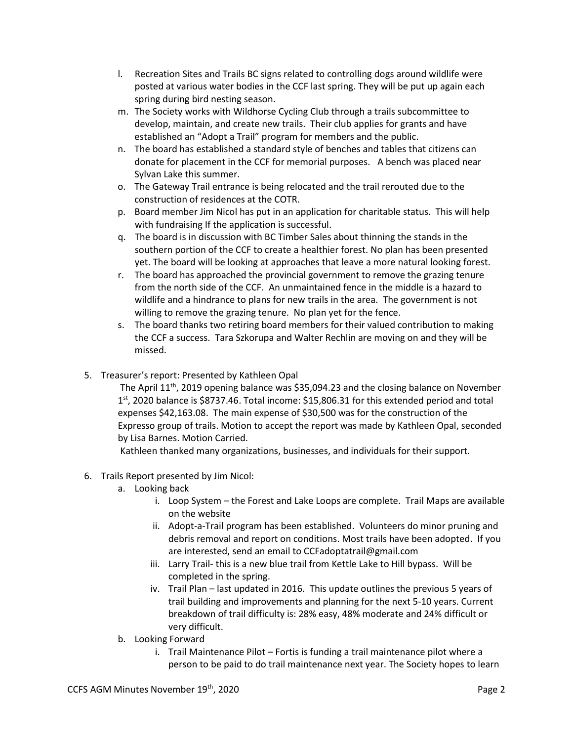- l. Recreation Sites and Trails BC signs related to controlling dogs around wildlife were posted at various water bodies in the CCF last spring. They will be put up again each spring during bird nesting season.
- m. The Society works with Wildhorse Cycling Club through a trails subcommittee to develop, maintain, and create new trails. Their club applies for grants and have established an "Adopt a Trail" program for members and the public.
- n. The board has established a standard style of benches and tables that citizens can donate for placement in the CCF for memorial purposes. A bench was placed near Sylvan Lake this summer.
- o. The Gateway Trail entrance is being relocated and the trail rerouted due to the construction of residences at the COTR.
- p. Board member Jim Nicol has put in an application for charitable status. This will help with fundraising If the application is successful.
- q. The board is in discussion with BC Timber Sales about thinning the stands in the southern portion of the CCF to create a healthier forest. No plan has been presented yet. The board will be looking at approaches that leave a more natural looking forest.
- r. The board has approached the provincial government to remove the grazing tenure from the north side of the CCF. An unmaintained fence in the middle is a hazard to wildlife and a hindrance to plans for new trails in the area. The government is not willing to remove the grazing tenure. No plan yet for the fence.
- s. The board thanks two retiring board members for their valued contribution to making the CCF a success. Tara Szkorupa and Walter Rechlin are moving on and they will be missed.
- 5. Treasurer's report: Presented by Kathleen Opal

The April 11<sup>th</sup>, 2019 opening balance was \$35,094.23 and the closing balance on November  $1<sup>st</sup>$ , 2020 balance is \$8737.46. Total income: \$15,806.31 for this extended period and total expenses \$42,163.08. The main expense of \$30,500 was for the construction of the Expresso group of trails. Motion to accept the report was made by Kathleen Opal, seconded by Lisa Barnes. Motion Carried.

Kathleen thanked many organizations, businesses, and individuals for their support.

- 6. Trails Report presented by Jim Nicol:
	- a. Looking back
		- i. Loop System the Forest and Lake Loops are complete. Trail Maps are available on the website
		- ii. Adopt-a-Trail program has been established. Volunteers do minor pruning and debris removal and report on conditions. Most trails have been adopted. If you are interested, send an email to CCFadoptatrail@gmail.com
		- iii. Larry Trail- this is a new blue trail from Kettle Lake to Hill bypass. Will be completed in the spring.
		- iv. Trail Plan last updated in 2016. This update outlines the previous 5 years of trail building and improvements and planning for the next 5-10 years. Current breakdown of trail difficulty is: 28% easy, 48% moderate and 24% difficult or very difficult.
	- b. Looking Forward
		- i. Trail Maintenance Pilot Fortis is funding a trail maintenance pilot where a person to be paid to do trail maintenance next year. The Society hopes to learn